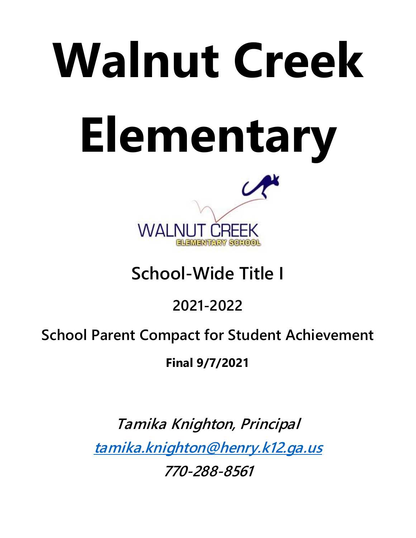# **Walnut Creek Elementary**



# **School-Wide Title I**

# **2021-2022**

# **School Parent Compact for Student Achievement**

**Final 9/7/2021**

**Tamika Knighton, Principal [tamika.knighton@henry.k12.ga.us](mailto:tamika.knighton@henry.k12.ga.us) 770-288-8561**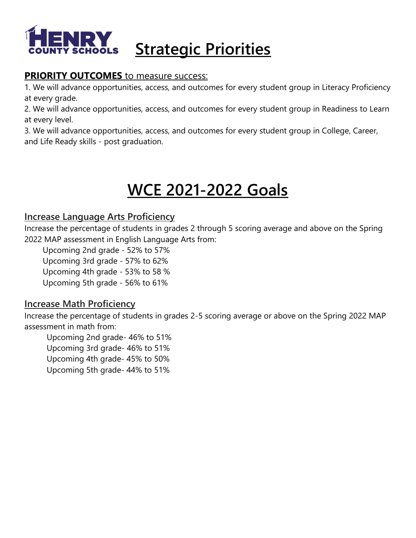

#### **PRIORITY OUTCOMES** to measure success:

1. We will advance opportunities, access, and outcomes for every student group in Literacy Proficiency at every grade.

2. We will advance opportunities, access, and outcomes for every student group in Readiness to Learn at every level.

3. We will advance opportunities, access, and outcomes for every student group in College, Career, and Life Ready skills - post graduation.

# **WCE 2021-2022 Goals**

#### **Increase Language Arts Proficiency**

Increase the percentage of students in grades 2 through 5 scoring average and above on the Spring 2022 MAP assessment in English Language Arts from:

Upcoming 2nd grade - 52% to 57% Upcoming 3rd grade - 57% to 62% Upcoming 4th grade - 53% to 58 % Upcoming 5th grade - 56% to 61%

#### **Increase Math Proficiency**

Increase the percentage of students in grades 2-5 scoring average or above on the Spring 2022 MAP assessment in math from:

 Upcoming 2nd grade- 46% to 51% Upcoming 3rd grade- 46% to 51% Upcoming 4th grade- 45% to 50% Upcoming 5th grade- 44% to 51%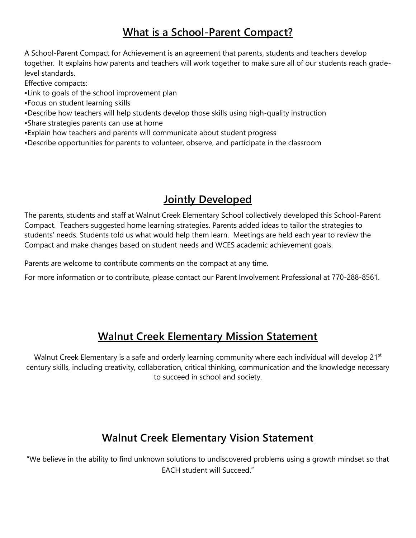#### **What is a School-Parent Compact?**

A School-Parent Compact for Achievement is an agreement that parents, students and teachers develop together. It explains how parents and teachers will work together to make sure all of our students reach gradelevel standards.

Effective compacts:

•Link to goals of the school improvement plan

•Focus on student learning skills

•Describe how teachers will help students develop those skills using high-quality instruction

•Share strategies parents can use at home

•Explain how teachers and parents will communicate about student progress

•Describe opportunities for parents to volunteer, observe, and participate in the classroom

#### **Jointly Developed**

The parents, students and staff at Walnut Creek Elementary School collectively developed this School-Parent Compact. Teachers suggested home learning strategies. Parents added ideas to tailor the strategies to students' needs. Students told us what would help them learn. Meetings are held each year to review the Compact and make changes based on student needs and WCES academic achievement goals.

Parents are welcome to contribute comments on the compact at any time.

For more information or to contribute, please contact our Parent Involvement Professional at 770-288-8561.

#### **Walnut Creek Elementary Mission Statement**

Walnut Creek Elementary is a safe and orderly learning community where each individual will develop 21<sup>st</sup> century skills, including creativity, collaboration, critical thinking, communication and the knowledge necessary to succeed in school and society.

### **Walnut Creek Elementary Vision Statement**

"We believe in the ability to find unknown solutions to undiscovered problems using a growth mindset so that EACH student will Succeed."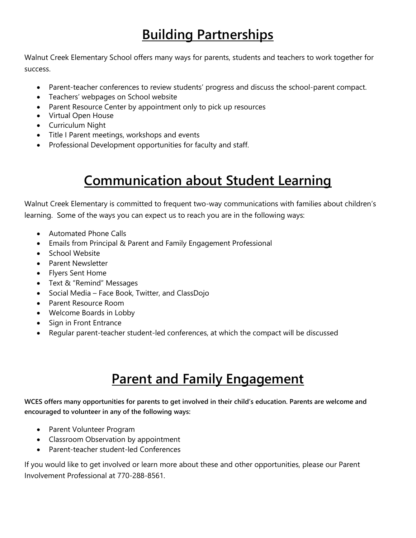## **Building Partnerships**

Walnut Creek Elementary School offers many ways for parents, students and teachers to work together for success.

- Parent-teacher conferences to review students' progress and discuss the school-parent compact.
- Teachers' webpages on School website
- Parent Resource Center by appointment only to pick up resources
- Virtual Open House
- Curriculum Night
- Title I Parent meetings, workshops and events
- Professional Development opportunities for faculty and staff.

## **Communication about Student Learning**

Walnut Creek Elementary is committed to frequent two-way communications with families about children's learning. Some of the ways you can expect us to reach you are in the following ways:

- Automated Phone Calls
- Emails from Principal & Parent and Family Engagement Professional
- School Website
- Parent Newsletter
- Flyers Sent Home
- Text & "Remind" Messages
- Social Media Face Book, Twitter, and ClassDojo
- Parent Resource Room
- Welcome Boards in Lobby
- Sign in Front Entrance
- Regular parent-teacher student-led conferences, at which the compact will be discussed

## **Parent and Family Engagement**

**WCES offers many opportunities for parents to get involved in their child's education. Parents are welcome and encouraged to volunteer in any of the following ways:**

- Parent Volunteer Program
- Classroom Observation by appointment
- Parent-teacher student-led Conferences

If you would like to get involved or learn more about these and other opportunities, please our Parent Involvement Professional at 770-288-8561.